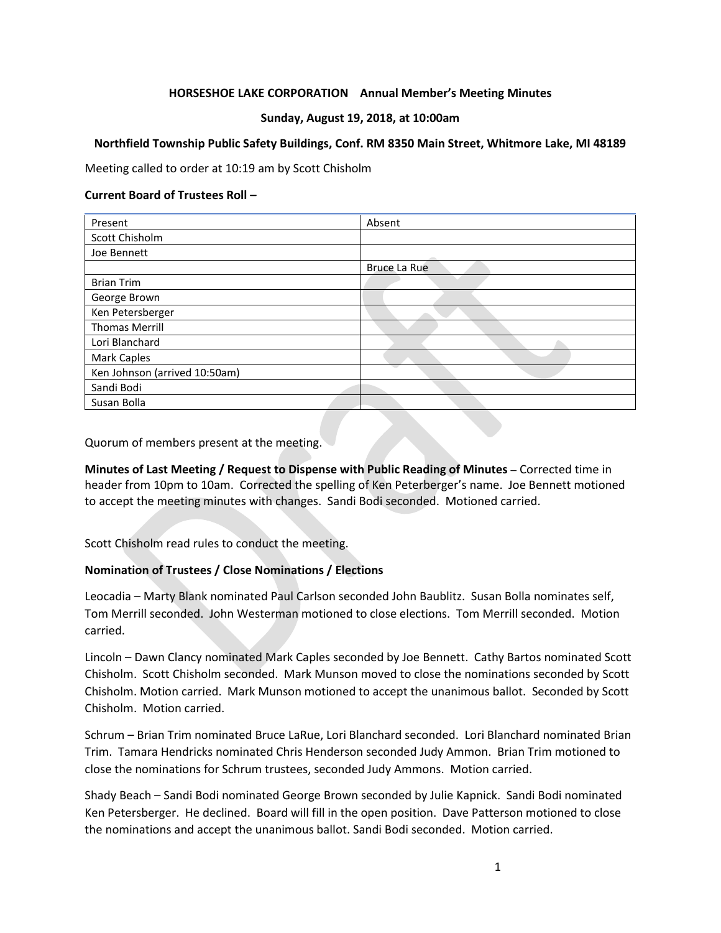## **HORSESHOE LAKE CORPORATION Annual Member's Meeting Minutes**

### **Sunday, August 19, 2018, at 10:00am**

#### **Northfield Township Public Safety Buildings, Conf. RM 8350 Main Street, Whitmore Lake, MI 48189**

Meeting called to order at 10:19 am by Scott Chisholm

#### **Current Board of Trustees Roll –**

| Present                       | Absent       |
|-------------------------------|--------------|
| Scott Chisholm                |              |
| Joe Bennett                   |              |
|                               | Bruce La Rue |
| <b>Brian Trim</b>             |              |
| George Brown                  |              |
| Ken Petersberger              |              |
| <b>Thomas Merrill</b>         |              |
| Lori Blanchard                |              |
| Mark Caples                   |              |
| Ken Johnson (arrived 10:50am) |              |
| Sandi Bodi                    |              |
| Susan Bolla                   |              |

Quorum of members present at the meeting.

**Minutes of Last Meeting / Request to Dispense with Public Reading of Minutes –** Corrected time in header from 10pm to 10am. Corrected the spelling of Ken Peterberger's name. Joe Bennett motioned to accept the meeting minutes with changes. Sandi Bodi seconded. Motioned carried.

Scott Chisholm read rules to conduct the meeting.

### **Nomination of Trustees / Close Nominations / Elections**

Leocadia – Marty Blank nominated Paul Carlson seconded John Baublitz. Susan Bolla nominates self, Tom Merrill seconded. John Westerman motioned to close elections. Tom Merrill seconded. Motion carried.

Lincoln – Dawn Clancy nominated Mark Caples seconded by Joe Bennett. Cathy Bartos nominated Scott Chisholm. Scott Chisholm seconded. Mark Munson moved to close the nominations seconded by Scott Chisholm. Motion carried. Mark Munson motioned to accept the unanimous ballot. Seconded by Scott Chisholm. Motion carried.

Schrum – Brian Trim nominated Bruce LaRue, Lori Blanchard seconded. Lori Blanchard nominated Brian Trim. Tamara Hendricks nominated Chris Henderson seconded Judy Ammon. Brian Trim motioned to close the nominations for Schrum trustees, seconded Judy Ammons. Motion carried.

Shady Beach – Sandi Bodi nominated George Brown seconded by Julie Kapnick. Sandi Bodi nominated Ken Petersberger. He declined. Board will fill in the open position. Dave Patterson motioned to close the nominations and accept the unanimous ballot. Sandi Bodi seconded. Motion carried.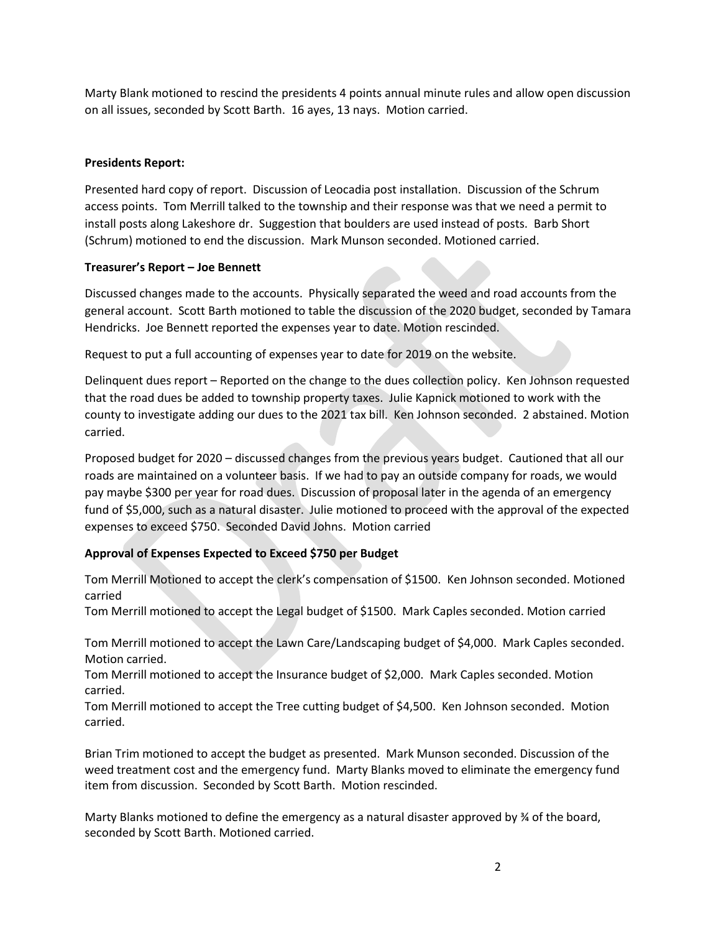Marty Blank motioned to rescind the presidents 4 points annual minute rules and allow open discussion on all issues, seconded by Scott Barth. 16 ayes, 13 nays. Motion carried.

## **Presidents Report:**

Presented hard copy of report. Discussion of Leocadia post installation. Discussion of the Schrum access points. Tom Merrill talked to the township and their response was that we need a permit to install posts along Lakeshore dr. Suggestion that boulders are used instead of posts. Barb Short (Schrum) motioned to end the discussion. Mark Munson seconded. Motioned carried.

### **Treasurer's Report – Joe Bennett**

Discussed changes made to the accounts. Physically separated the weed and road accounts from the general account. Scott Barth motioned to table the discussion of the 2020 budget, seconded by Tamara Hendricks. Joe Bennett reported the expenses year to date. Motion rescinded.

Request to put a full accounting of expenses year to date for 2019 on the website.

Delinquent dues report – Reported on the change to the dues collection policy. Ken Johnson requested that the road dues be added to township property taxes. Julie Kapnick motioned to work with the county to investigate adding our dues to the 2021 tax bill. Ken Johnson seconded. 2 abstained. Motion carried.

Proposed budget for 2020 – discussed changes from the previous years budget. Cautioned that all our roads are maintained on a volunteer basis. If we had to pay an outside company for roads, we would pay maybe \$300 per year for road dues. Discussion of proposal later in the agenda of an emergency fund of \$5,000, such as a natural disaster. Julie motioned to proceed with the approval of the expected expenses to exceed \$750. Seconded David Johns. Motion carried

# **Approval of Expenses Expected to Exceed \$750 per Budget**

Tom Merrill Motioned to accept the clerk's compensation of \$1500. Ken Johnson seconded. Motioned carried

Tom Merrill motioned to accept the Legal budget of \$1500. Mark Caples seconded. Motion carried

Tom Merrill motioned to accept the Lawn Care/Landscaping budget of \$4,000. Mark Caples seconded. Motion carried.

Tom Merrill motioned to accept the Insurance budget of \$2,000. Mark Caples seconded. Motion carried.

Tom Merrill motioned to accept the Tree cutting budget of \$4,500. Ken Johnson seconded. Motion carried.

Brian Trim motioned to accept the budget as presented. Mark Munson seconded. Discussion of the weed treatment cost and the emergency fund. Marty Blanks moved to eliminate the emergency fund item from discussion. Seconded by Scott Barth. Motion rescinded.

Marty Blanks motioned to define the emergency as a natural disaster approved by ¾ of the board, seconded by Scott Barth. Motioned carried.